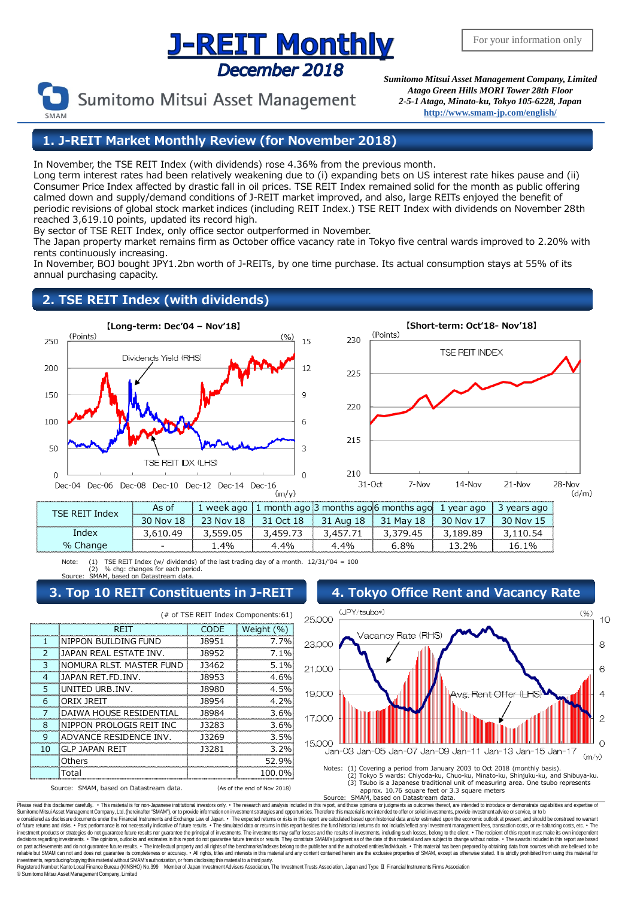# **J-REIT Monthly** December 2018

Sumitomo Mitsui Asset Management

*Sumitomo Mitsui Asset Management Company, Limited Atago Green Hills MORI Tower 28th Floor 2-5-1 Atago, Minato-ku, Tokyo 105-6228, Japan* **<http://www.smam-jp.com/english/>**

**1. J-REIT Market Monthly Review (for November 2018)**

In November, the TSE REIT Index (with dividends) rose 4.36% from the previous month.

Long term interest rates had been relatively weakening due to (i) expanding bets on US interest rate hikes pause and (ii) Consumer Price Index affected by drastic fall in oil prices. TSE REIT Index remained solid for the month as public offering calmed down and supply/demand conditions of J-REIT market improved, and also, large REITs enjoyed the benefit of periodic revisions of global stock market indices (including REIT Index.) TSE REIT Index with dividends on November 28th reached 3,619.10 points, updated its record high.

By sector of TSE REIT Index, only office sector outperformed in November.

The Japan property market remains firm as October office vacancy rate in Tokyo five central wards improved to 2.20% with rents continuously increasing.

In November, BOJ bought JPY1.2bn worth of J-REITs, by one time purchase. Its actual consumption stays at 55% of its annual purchasing capacity.

# **2. TSE REIT Index (with dividends)**





| TSF RFIT Index | As of     |          |      |      | 1 week ago $\vert$ 1 month ago 3 months ago 6 months ago 1 year ago     |          | 3 years ago |
|----------------|-----------|----------|------|------|-------------------------------------------------------------------------|----------|-------------|
|                | 30 Nov 18 |          |      |      | │ 23 Nov 18 │ 31 Oct 18 │ 31 Aug 18 │ 31 Mav 18 │ 30 Nov 17 │ 30 Nov 15 |          |             |
| Index          | 3 610 49  | 3 559 05 |      |      | 3 379 45                                                                | 3 189 89 | 10.54       |
| % Change       |           | 4%       | 4 4% | 4.4% | 6 ጸ%                                                                    | 70/2     | $16.1\%$    |

Note: (1) TSE REIT Index (w/ dividends) of the last trading day of a month.  $12/31/104 = 100$ (2) % chg: changes for each period. Source: SMAM, based on Datastream data.

(# of TSE REIT Index Components:61)

CODE Weight (%)

## **3. Top 10 REIT Constituents in J-REIT** 4. Tokyo Office Re

1 NIPPON BUILDING FUND 38951 7.7% 2 JAPAN REAL ESTATE INV. | 18952 | 7.1% 3 NOMURA RLST. MASTER FUND 13462 5.1% 4 JAPAN RET.FD.INV. J8953 4.6% 5 UNITED URB.INV. J8980 4.5% 6 ORIX JREIT J8954 4.2% 7 DAIWA HOUSE RESIDENTIAL | J8984 | 3.6% 8 NIPPON PROLOGIS REIT INC | J3283 | 3.6% 9 ADVANCE RESIDENCE INV. J3269 3.5% 10 GLP JAPAN REIT 3.2% Others 52.9% Total 100.0%

**REIT** 

Source: SMAM, based on Datastream data. (As of the end of Nov 2018)

| 4. TOKYO OTHCE REIL AND VACANCY RATE                                                                                                                                |    |
|---------------------------------------------------------------------------------------------------------------------------------------------------------------------|----|
| (JPY/tsubo*)<br>(96)                                                                                                                                                |    |
| 25,000                                                                                                                                                              | 10 |
| Vacancy Rate (RHS)<br>23,000                                                                                                                                        | 8  |
|                                                                                                                                                                     |    |
| 21,000                                                                                                                                                              | 6  |
|                                                                                                                                                                     |    |
| 19,000<br><del>Avs. Rent Offer (L</del> l                                                                                                                           | 4  |
|                                                                                                                                                                     |    |
| 17,000                                                                                                                                                              | 2  |
| 15,000                                                                                                                                                              |    |
| Jan-03 Jan-05 Jan-07 Jan-09 Jan-11 Jan-13 Jan-15 Jan-17<br>(m/y)                                                                                                    |    |
| Notes: (1) Covering a period from January 2003 to Oct 2018 (monthly basis).                                                                                         |    |
| (2) Tokyo 5 wards: Chiyoda-ku, Chuo-ku, Minato-ku, Shinjuku-ku, and Shibuya-ku.<br>(3) Tsubo is a Japanese traditional unit of measuring area. One tsubo represents |    |
| annrox 10.76 square feet or 3.3 square meters                                                                                                                       |    |

approx. 10.76 square feet or 3.3 square meters Source: SMAM, based on Datastream data.

Please read this disclaimer carefuly. • This material is for non-Japanese institutional investors only. • The research and analysis included in this report, and those opinions or judgments as outcomes thereof, are intended e considered as disclosure documents under the Financial Instruments and Exchange Law of Japan. • The expected returns or risks in this report are calculated based upon historical data and/or estimated upon the economic ou decisions regarding investments. • The opinions, outlooks and estimates in this report do not guarantee fulure trends or results. They constitute SMAM's judgment as of the fate of this material and are subject to change wi investments, reproducing/copying this material without SMAM's authorization, or from disclosing thismaterial to a third party. egistered Number: Kanto Local Finance Bureau (KINSHO) No.399 Member of Japan Investment Advisers Association, The Investment Trusts Association, Japan and Type Ⅱ Financial Instruments Firms Association

© SumitomoMitsui Asset Management Company, Limited